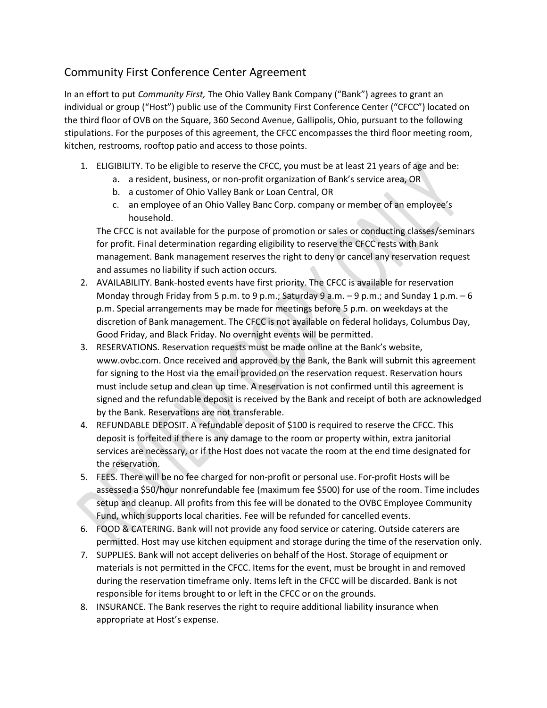## Community First Conference Center Agreement

In an effort to put *Community First,* The Ohio Valley Bank Company ("Bank") agrees to grant an individual or group ("Host") public use of the Community First Conference Center ("CFCC") located on the third floor of OVB on the Square, 360 Second Avenue, Gallipolis, Ohio, pursuant to the following stipulations. For the purposes of this agreement, the CFCC encompasses the third floor meeting room, kitchen, restrooms, rooftop patio and access to those points.

- 1. ELIGIBILITY. To be eligible to reserve the CFCC, you must be at least 21 years of age and be:
	- a. a resident, business, or non-profit organization of Bank's service area, OR
	- b. a customer of Ohio Valley Bank or Loan Central, OR
	- c. an employee of an Ohio Valley Banc Corp. company or member of an employee's household.

The CFCC is not available for the purpose of promotion or sales or conducting classes/seminars for profit. Final determination regarding eligibility to reserve the CFCC rests with Bank management. Bank management reserves the right to deny or cancel any reservation request and assumes no liability if such action occurs.

- 2. AVAILABILITY. Bank-hosted events have first priority. The CFCC is available for reservation Monday through Friday from 5 p.m. to 9 p.m.; Saturday 9 a.m.  $-$  9 p.m.; and Sunday 1 p.m.  $-6$ p.m. Special arrangements may be made for meetings before 5 p.m. on weekdays at the discretion of Bank management. The CFCC is not available on federal holidays, Columbus Day, Good Friday, and Black Friday. No overnight events will be permitted.
- 3. RESERVATIONS. Reservation requests must be made online at the Bank's website, www.ovbc.com. Once received and approved by the Bank, the Bank will submit this agreement for signing to the Host via the email provided on the reservation request. Reservation hours must include setup and clean up time. A reservation is not confirmed until this agreement is signed and the refundable deposit is received by the Bank and receipt of both are acknowledged by the Bank. Reservations are not transferable.
- 4. REFUNDABLE DEPOSIT. A refundable deposit of \$100 is required to reserve the CFCC. This deposit is forfeited if there is any damage to the room or property within, extra janitorial services are necessary, or if the Host does not vacate the room at the end time designated for the reservation.
- 5. FEES. There will be no fee charged for non-profit or personal use. For-profit Hosts will be assessed a \$50/hour nonrefundable fee (maximum fee \$500) for use of the room. Time includes setup and cleanup. All profits from this fee will be donated to the OVBC Employee Community Fund, which supports local charities. Fee will be refunded for cancelled events.
- 6. FOOD & CATERING. Bank will not provide any food service or catering. Outside caterers are permitted. Host may use kitchen equipment and storage during the time of the reservation only.
- 7. SUPPLIES. Bank will not accept deliveries on behalf of the Host. Storage of equipment or materials is not permitted in the CFCC. Items for the event, must be brought in and removed during the reservation timeframe only. Items left in the CFCC will be discarded. Bank is not responsible for items brought to or left in the CFCC or on the grounds.
- 8. INSURANCE. The Bank reserves the right to require additional liability insurance when appropriate at Host's expense.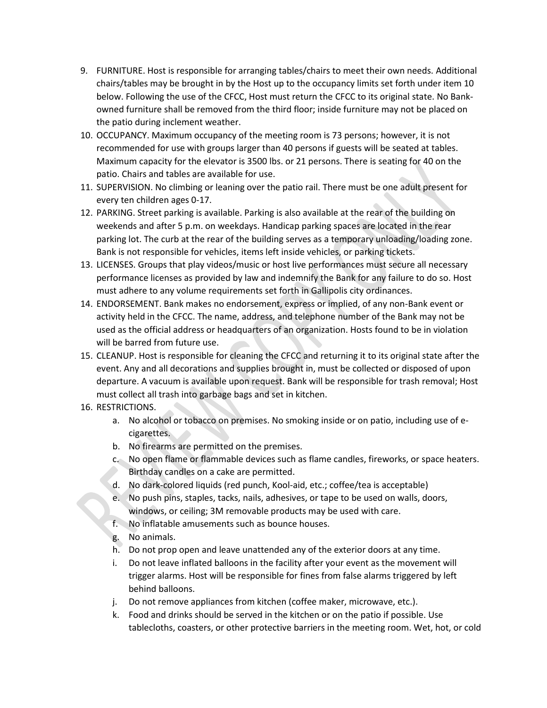- 9. FURNITURE. Host is responsible for arranging tables/chairs to meet their own needs. Additional chairs/tables may be brought in by the Host up to the occupancy limits set forth under item 10 below. Following the use of the CFCC, Host must return the CFCC to its original state. No Bankowned furniture shall be removed from the third floor; inside furniture may not be placed on the patio during inclement weather.
- 10. OCCUPANCY. Maximum occupancy of the meeting room is 73 persons; however, it is not recommended for use with groups larger than 40 persons if guests will be seated at tables. Maximum capacity for the elevator is 3500 lbs. or 21 persons. There is seating for 40 on the patio. Chairs and tables are available for use.
- 11. SUPERVISION. No climbing or leaning over the patio rail. There must be one adult present for every ten children ages 0-17.
- 12. PARKING. Street parking is available. Parking is also available at the rear of the building on weekends and after 5 p.m. on weekdays. Handicap parking spaces are located in the rear parking lot. The curb at the rear of the building serves as a temporary unloading/loading zone. Bank is not responsible for vehicles, items left inside vehicles, or parking tickets.
- 13. LICENSES. Groups that play videos/music or host live performances must secure all necessary performance licenses as provided by law and indemnify the Bank for any failure to do so. Host must adhere to any volume requirements set forth in Gallipolis city ordinances.
- 14. ENDORSEMENT. Bank makes no endorsement, express or implied, of any non-Bank event or activity held in the CFCC. The name, address, and telephone number of the Bank may not be used as the official address or headquarters of an organization. Hosts found to be in violation will be barred from future use.
- 15. CLEANUP. Host is responsible for cleaning the CFCC and returning it to its original state after the event. Any and all decorations and supplies brought in, must be collected or disposed of upon departure. A vacuum is available upon request. Bank will be responsible for trash removal; Host must collect all trash into garbage bags and set in kitchen.
- 16. RESTRICTIONS.
	- a. No alcohol or tobacco on premises. No smoking inside or on patio, including use of ecigarettes.
	- b. No firearms are permitted on the premises.
	- c. No open flame or flammable devices such as flame candles, fireworks, or space heaters. Birthday candles on a cake are permitted.
	- d. No dark-colored liquids (red punch, Kool-aid, etc.; coffee/tea is acceptable)
	- e. No push pins, staples, tacks, nails, adhesives, or tape to be used on walls, doors, windows, or ceiling; 3M removable products may be used with care.
	- f. No inflatable amusements such as bounce houses.
	- g. No animals.
	- h. Do not prop open and leave unattended any of the exterior doors at any time.
	- i. Do not leave inflated balloons in the facility after your event as the movement will trigger alarms. Host will be responsible for fines from false alarms triggered by left behind balloons.
	- j. Do not remove appliances from kitchen (coffee maker, microwave, etc.).
	- k. Food and drinks should be served in the kitchen or on the patio if possible. Use tablecloths, coasters, or other protective barriers in the meeting room. Wet, hot, or cold